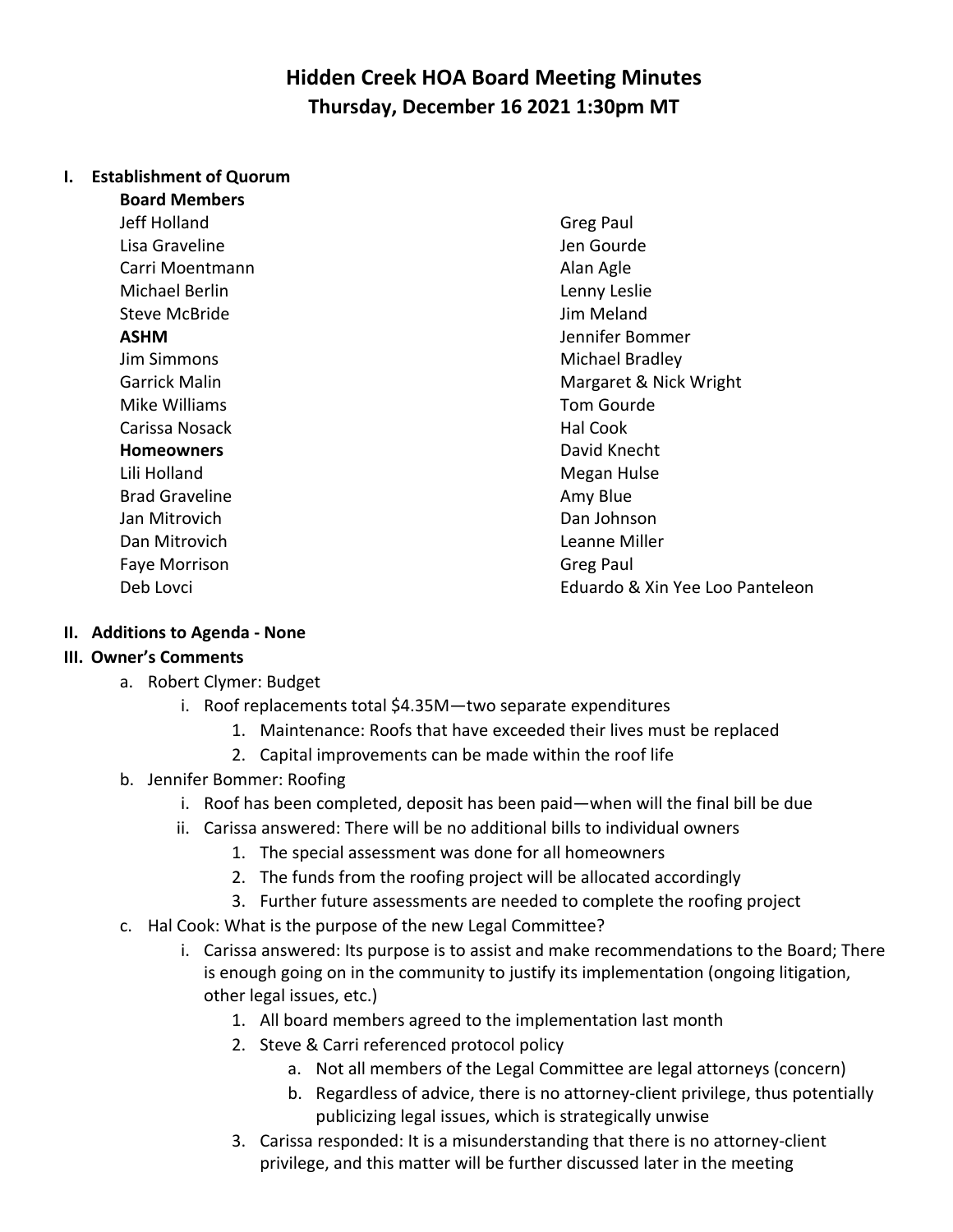# **Hidden Creek HOA Board Meeting Minutes Thursday, December 16 2021 1:30pm MT**

#### **I. Establishment of Quorum**

**Board Members** Jeff Holland Greg Paul Lisa Graveline **Verbaue Communist Communist Communist Communist Communist Communist Communist Communist Communist Communist Communist Communist Communist Communist Communist Communist Communist Communist Communist Communis** Carri Moentmann **Alan Agle** Michael Berlin **Lenny Leslie Lenny Leslie** Steve McBride **Jim Meland** Mike Williams Tom Gourde Carissa Nosack **Hal Cook** Hal Cook **Homeowners David Knecht David Knecht** Lili Holland Megan Hulse Brad Graveline **Amy Blue** Amy Blue Jan Mitrovich Dan Johnson Faye Morrison **Greg Paul** 

**ASHM** Jennifer Bommer **Jim Simmons** Michael Bradley Garrick Malin Margaret & Nick Wright Dan Mitrovich Leanne Miller Deb Lovci Eduardo & Xin Yee Loo Panteleon

#### **II. Additions to Agenda - None**

#### **III. Owner's Comments**

- a. Robert Clymer: Budget
	- i. Roof replacements total \$4.35M—two separate expenditures
		- 1. Maintenance: Roofs that have exceeded their lives must be replaced
		- 2. Capital improvements can be made within the roof life
- b. Jennifer Bommer: Roofing
	- i. Roof has been completed, deposit has been paid—when will the final bill be due
	- ii. Carissa answered: There will be no additional bills to individual owners
		- 1. The special assessment was done for all homeowners
		- 2. The funds from the roofing project will be allocated accordingly
		- 3. Further future assessments are needed to complete the roofing project
- c. Hal Cook: What is the purpose of the new Legal Committee?
	- i. Carissa answered: Its purpose is to assist and make recommendations to the Board; There is enough going on in the community to justify its implementation (ongoing litigation, other legal issues, etc.)
		- 1. All board members agreed to the implementation last month
		- 2. Steve & Carri referenced protocol policy
			- a. Not all members of the Legal Committee are legal attorneys (concern)
			- b. Regardless of advice, there is no attorney-client privilege, thus potentially publicizing legal issues, which is strategically unwise
		- 3. Carissa responded: It is a misunderstanding that there is no attorney-client privilege, and this matter will be further discussed later in the meeting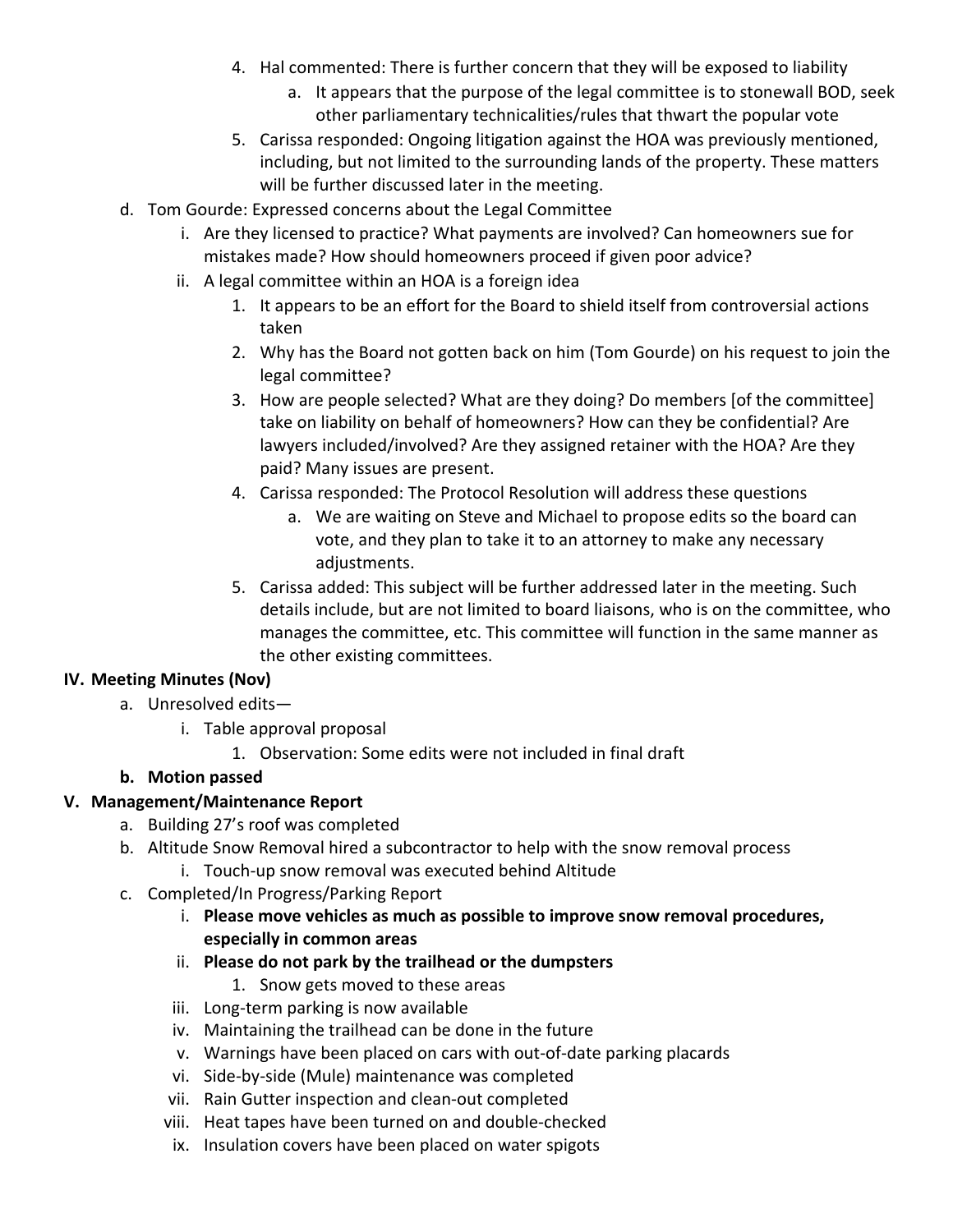- 4. Hal commented: There is further concern that they will be exposed to liability
	- a. It appears that the purpose of the legal committee is to stonewall BOD, seek other parliamentary technicalities/rules that thwart the popular vote
- 5. Carissa responded: Ongoing litigation against the HOA was previously mentioned, including, but not limited to the surrounding lands of the property. These matters will be further discussed later in the meeting.
- d. Tom Gourde: Expressed concerns about the Legal Committee
	- i. Are they licensed to practice? What payments are involved? Can homeowners sue for mistakes made? How should homeowners proceed if given poor advice?
	- ii. A legal committee within an HOA is a foreign idea
		- 1. It appears to be an effort for the Board to shield itself from controversial actions taken
		- 2. Why has the Board not gotten back on him (Tom Gourde) on his request to join the legal committee?
		- 3. How are people selected? What are they doing? Do members [of the committee] take on liability on behalf of homeowners? How can they be confidential? Are lawyers included/involved? Are they assigned retainer with the HOA? Are they paid? Many issues are present.
		- 4. Carissa responded: The Protocol Resolution will address these questions
			- a. We are waiting on Steve and Michael to propose edits so the board can vote, and they plan to take it to an attorney to make any necessary adjustments.
		- 5. Carissa added: This subject will be further addressed later in the meeting. Such details include, but are not limited to board liaisons, who is on the committee, who manages the committee, etc. This committee will function in the same manner as the other existing committees.

#### **IV. Meeting Minutes (Nov)**

- a. Unresolved edits
	- i. Table approval proposal
		- 1. Observation: Some edits were not included in final draft

### **b. Motion passed**

#### **V. Management/Maintenance Report**

- a. Building 27's roof was completed
- b. Altitude Snow Removal hired a subcontractor to help with the snow removal process i. Touch-up snow removal was executed behind Altitude
- c. Completed/In Progress/Parking Report
	- i. **Please move vehicles as much as possible to improve snow removal procedures, especially in common areas**
	- ii. **Please do not park by the trailhead or the dumpsters**
		- 1. Snow gets moved to these areas
	- iii. Long-term parking is now available
	- iv. Maintaining the trailhead can be done in the future
	- v. Warnings have been placed on cars with out-of-date parking placards
	- vi. Side-by-side (Mule) maintenance was completed
	- vii. Rain Gutter inspection and clean-out completed
	- viii. Heat tapes have been turned on and double-checked
	- ix. Insulation covers have been placed on water spigots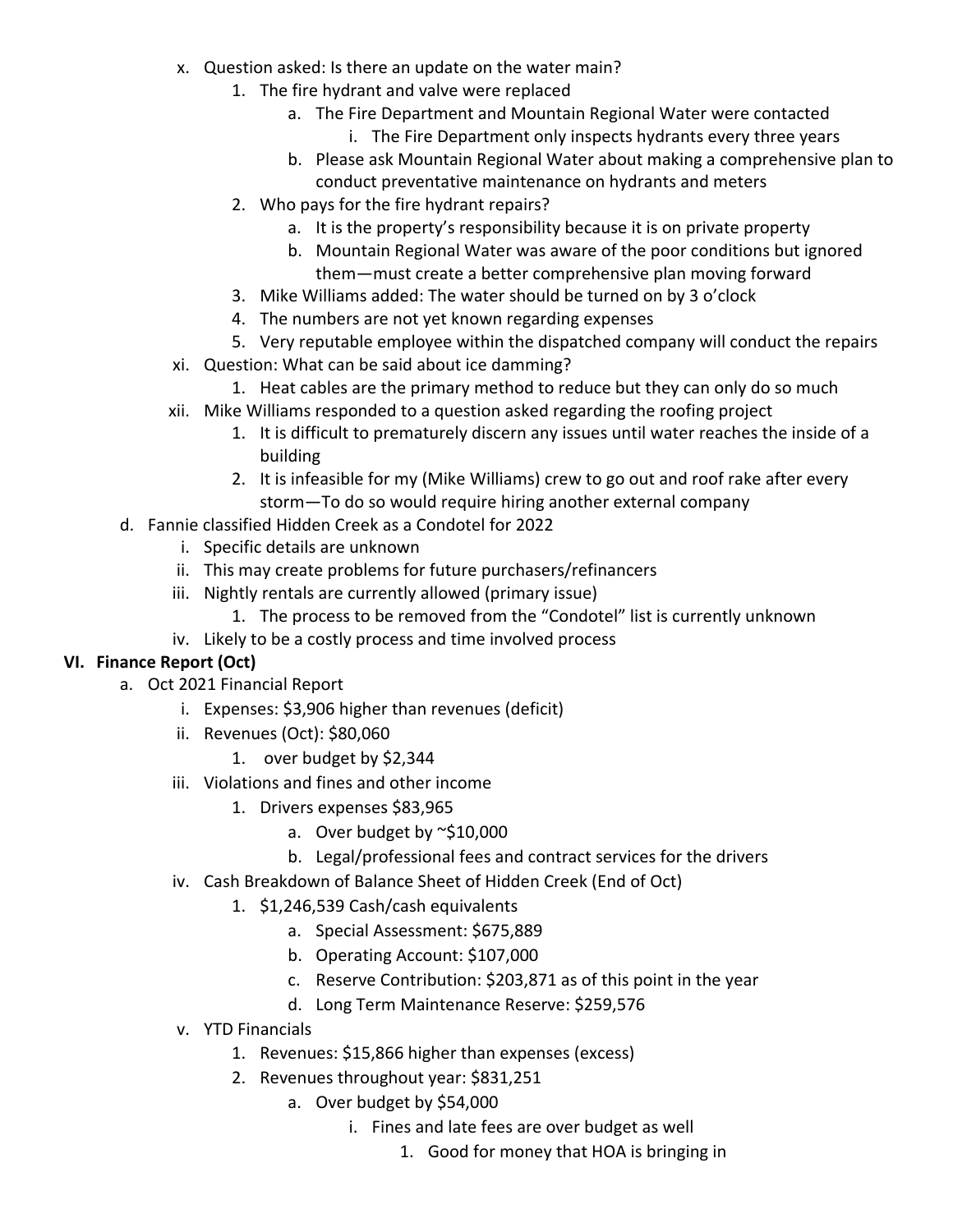- x. Question asked: Is there an update on the water main?
	- 1. The fire hydrant and valve were replaced
		- a. The Fire Department and Mountain Regional Water were contacted
			- i. The Fire Department only inspects hydrants every three years
			- b. Please ask Mountain Regional Water about making a comprehensive plan to conduct preventative maintenance on hydrants and meters
	- 2. Who pays for the fire hydrant repairs?
		- a. It is the property's responsibility because it is on private property
		- b. Mountain Regional Water was aware of the poor conditions but ignored them—must create a better comprehensive plan moving forward
	- 3. Mike Williams added: The water should be turned on by 3 o'clock
	- 4. The numbers are not yet known regarding expenses
	- 5. Very reputable employee within the dispatched company will conduct the repairs
- xi. Question: What can be said about ice damming?
	- 1. Heat cables are the primary method to reduce but they can only do so much
- xii. Mike Williams responded to a question asked regarding the roofing project
	- 1. It is difficult to prematurely discern any issues until water reaches the inside of a building
	- 2. It is infeasible for my (Mike Williams) crew to go out and roof rake after every storm—To do so would require hiring another external company
- d. Fannie classified Hidden Creek as a Condotel for 2022
	- i. Specific details are unknown
	- ii. This may create problems for future purchasers/refinancers
	- iii. Nightly rentals are currently allowed (primary issue)
		- 1. The process to be removed from the "Condotel" list is currently unknown
	- iv. Likely to be a costly process and time involved process

### **VI. Finance Report (Oct)**

- a. Oct 2021 Financial Report
	- i. Expenses: \$3,906 higher than revenues (deficit)
	- ii. Revenues (Oct): \$80,060
		- 1. over budget by \$2,344
	- iii. Violations and fines and other income
		- 1. Drivers expenses \$83,965
			- a. Over budget by ~\$10,000
			- b. Legal/professional fees and contract services for the drivers
	- iv. Cash Breakdown of Balance Sheet of Hidden Creek (End of Oct)
		- 1. \$1,246,539 Cash/cash equivalents
			- a. Special Assessment: \$675,889
			- b. Operating Account: \$107,000
			- c. Reserve Contribution: \$203,871 as of this point in the year
			- d. Long Term Maintenance Reserve: \$259,576
	- v. YTD Financials
		- 1. Revenues: \$15,866 higher than expenses (excess)
		- 2. Revenues throughout year: \$831,251
			- a. Over budget by \$54,000
				- i. Fines and late fees are over budget as well
					- 1. Good for money that HOA is bringing in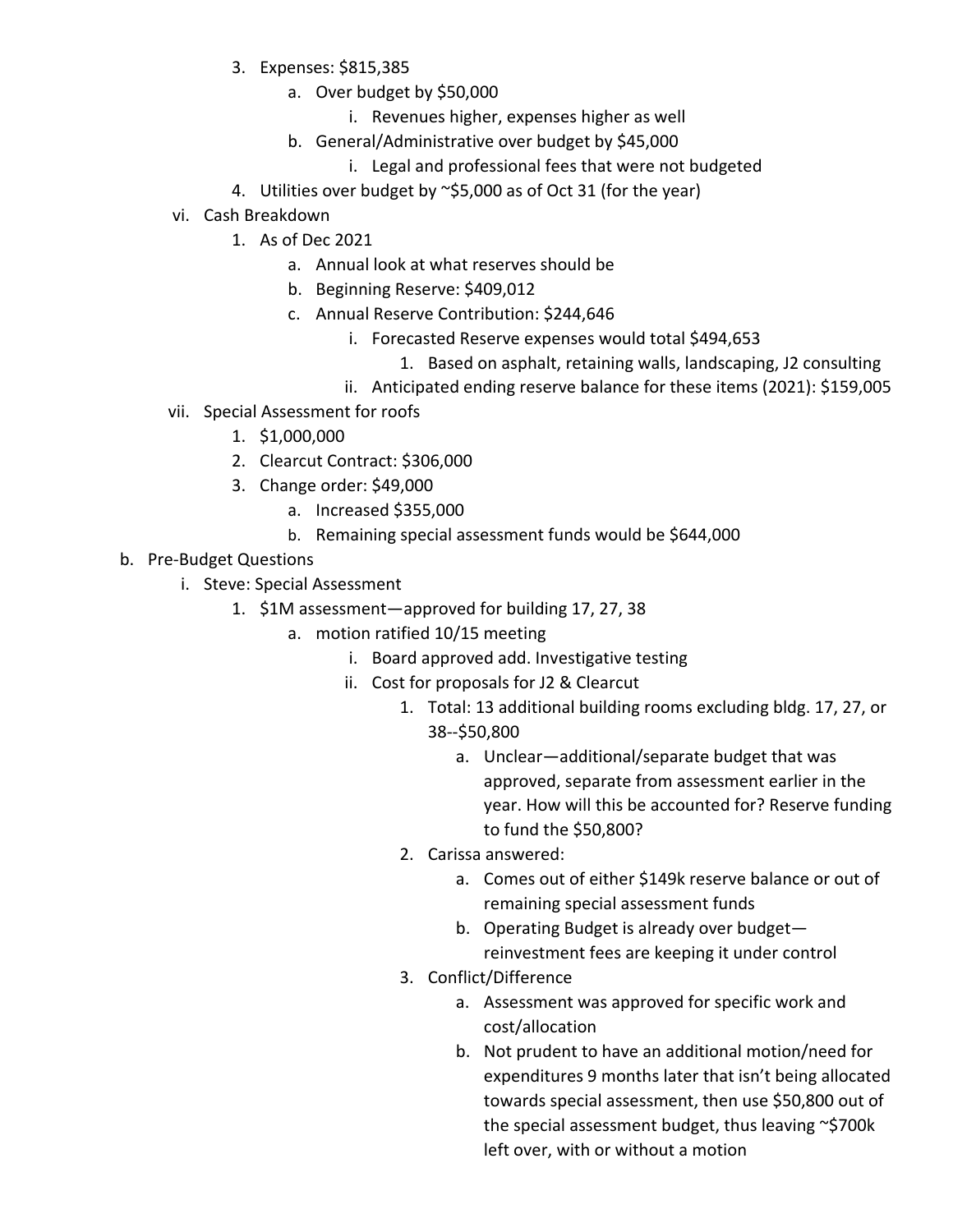- 3. Expenses: \$815,385
	- a. Over budget by \$50,000
		- i. Revenues higher, expenses higher as well
	- b. General/Administrative over budget by \$45,000
		- i. Legal and professional fees that were not budgeted
- 4. Utilities over budget by ~\$5,000 as of Oct 31 (for the year)
- vi. Cash Breakdown
	- 1. As of Dec 2021
		- a. Annual look at what reserves should be
		- b. Beginning Reserve: \$409,012
		- c. Annual Reserve Contribution: \$244,646
			- i. Forecasted Reserve expenses would total \$494,653
				- 1. Based on asphalt, retaining walls, landscaping, J2 consulting
			- ii. Anticipated ending reserve balance for these items (2021): \$159,005
- vii. Special Assessment for roofs
	- 1. \$1,000,000
	- 2. Clearcut Contract: \$306,000
	- 3. Change order: \$49,000
		- a. Increased \$355,000
		- b. Remaining special assessment funds would be \$644,000
- b. Pre-Budget Questions
	- i. Steve: Special Assessment
		- 1. \$1M assessment—approved for building 17, 27, 38
			- a. motion ratified 10/15 meeting
				- i. Board approved add. Investigative testing
				- ii. Cost for proposals for J2 & Clearcut
					- 1. Total: 13 additional building rooms excluding bldg. 17, 27, or 38--\$50,800
						- a. Unclear—additional/separate budget that was approved, separate from assessment earlier in the year. How will this be accounted for? Reserve funding to fund the \$50,800?
					- 2. Carissa answered:
						- a. Comes out of either \$149k reserve balance or out of remaining special assessment funds
						- b. Operating Budget is already over budget reinvestment fees are keeping it under control
					- 3. Conflict/Difference
						- a. Assessment was approved for specific work and cost/allocation
						- b. Not prudent to have an additional motion/need for expenditures 9 months later that isn't being allocated towards special assessment, then use \$50,800 out of the special assessment budget, thus leaving ~\$700k left over, with or without a motion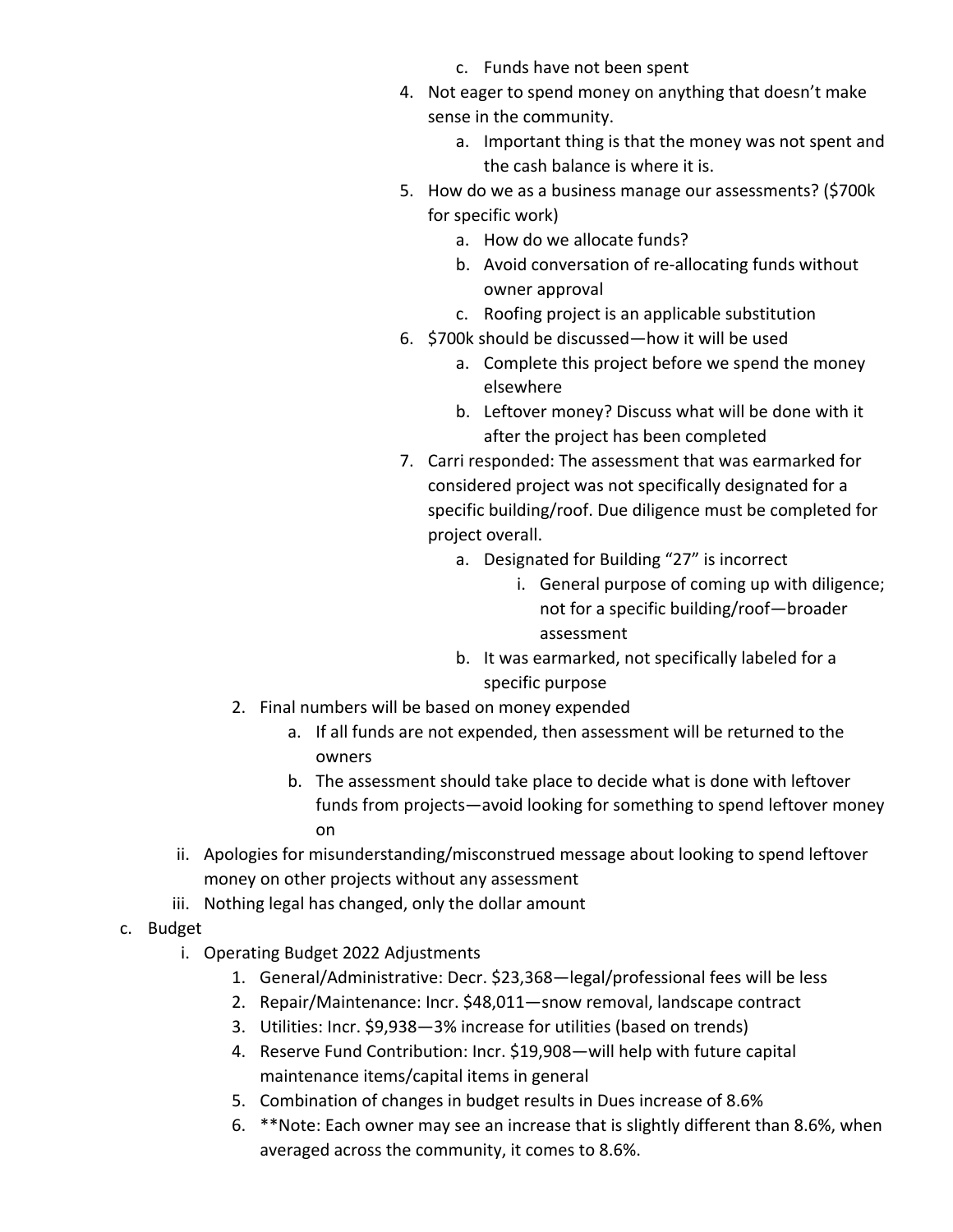- c. Funds have not been spent
- 4. Not eager to spend money on anything that doesn't make sense in the community.
	- a. Important thing is that the money was not spent and the cash balance is where it is.
- 5. How do we as a business manage our assessments? (\$700k for specific work)
	- a. How do we allocate funds?
	- b. Avoid conversation of re-allocating funds without owner approval
	- c. Roofing project is an applicable substitution
- 6. \$700k should be discussed—how it will be used
	- a. Complete this project before we spend the money elsewhere
	- b. Leftover money? Discuss what will be done with it after the project has been completed
- 7. Carri responded: The assessment that was earmarked for considered project was not specifically designated for a specific building/roof. Due diligence must be completed for project overall.
	- a. Designated for Building "27" is incorrect
		- i. General purpose of coming up with diligence; not for a specific building/roof—broader assessment
	- b. It was earmarked, not specifically labeled for a specific purpose
- 2. Final numbers will be based on money expended
	- a. If all funds are not expended, then assessment will be returned to the owners
	- b. The assessment should take place to decide what is done with leftover funds from projects—avoid looking for something to spend leftover money on
- ii. Apologies for misunderstanding/misconstrued message about looking to spend leftover money on other projects without any assessment
- iii. Nothing legal has changed, only the dollar amount
- c. Budget
	- i. Operating Budget 2022 Adjustments
		- 1. General/Administrative: Decr. \$23,368—legal/professional fees will be less
		- 2. Repair/Maintenance: Incr. \$48,011—snow removal, landscape contract
		- 3. Utilities: Incr. \$9,938—3% increase for utilities (based on trends)
		- 4. Reserve Fund Contribution: Incr. \$19,908—will help with future capital maintenance items/capital items in general
		- 5. Combination of changes in budget results in Dues increase of 8.6%
		- 6. \*\*Note: Each owner may see an increase that is slightly different than 8.6%, when averaged across the community, it comes to 8.6%.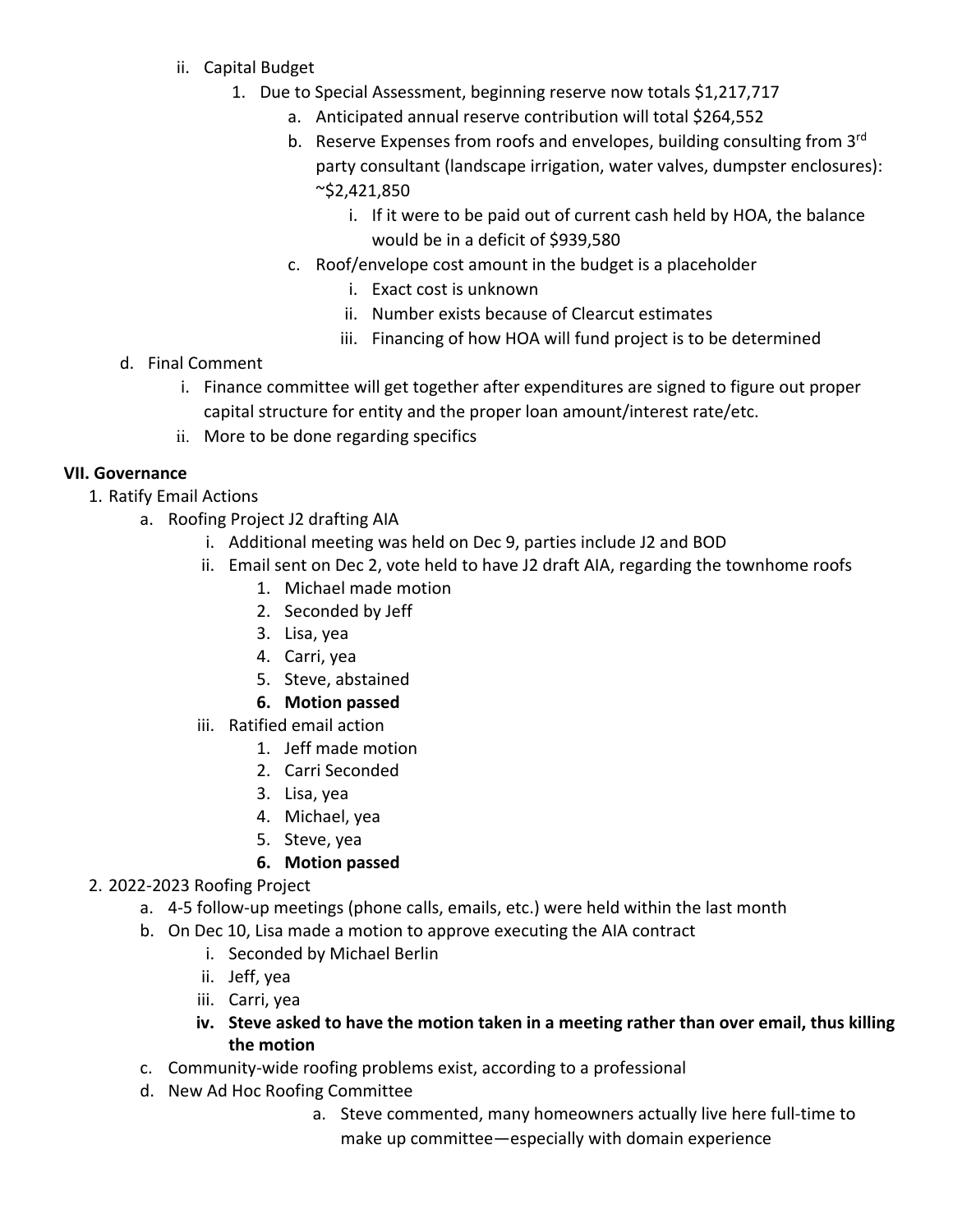- ii. Capital Budget
	- 1. Due to Special Assessment, beginning reserve now totals \$1,217,717
		- a. Anticipated annual reserve contribution will total \$264,552
		- b. Reserve Expenses from roofs and envelopes, building consulting from 3<sup>rd</sup> party consultant (landscape irrigation, water valves, dumpster enclosures): ~\$2,421,850
			- i. If it were to be paid out of current cash held by HOA, the balance would be in a deficit of \$939,580
		- c. Roof/envelope cost amount in the budget is a placeholder
			- i. Exact cost is unknown
			- ii. Number exists because of Clearcut estimates
			- iii. Financing of how HOA will fund project is to be determined
- d. Final Comment
	- i. Finance committee will get together after expenditures are signed to figure out proper capital structure for entity and the proper loan amount/interest rate/etc.
	- ii. More to be done regarding specifics

### **VII. Governance**

- 1. Ratify Email Actions
	- a. Roofing Project J2 drafting AIA
		- i. Additional meeting was held on Dec 9, parties include J2 and BOD
		- ii. Email sent on Dec 2, vote held to have J2 draft AIA, regarding the townhome roofs
			- 1. Michael made motion
			- 2. Seconded by Jeff
			- 3. Lisa, yea
			- 4. Carri, yea
			- 5. Steve, abstained
			- **6. Motion passed**
		- iii. Ratified email action
			- 1. Jeff made motion
			- 2. Carri Seconded
			- 3. Lisa, yea
			- 4. Michael, yea
			- 5. Steve, yea

#### **6. Motion passed**

- 2. 2022-2023 Roofing Project
	- a. 4-5 follow-up meetings (phone calls, emails, etc.) were held within the last month
	- b. On Dec 10, Lisa made a motion to approve executing the AIA contract
		- i. Seconded by Michael Berlin
		- ii. Jeff, yea
		- iii. Carri, yea
		- **iv. Steve asked to have the motion taken in a meeting rather than over email, thus killing the motion**
	- c. Community-wide roofing problems exist, according to a professional
	- d. New Ad Hoc Roofing Committee
		- a. Steve commented, many homeowners actually live here full-time to make up committee—especially with domain experience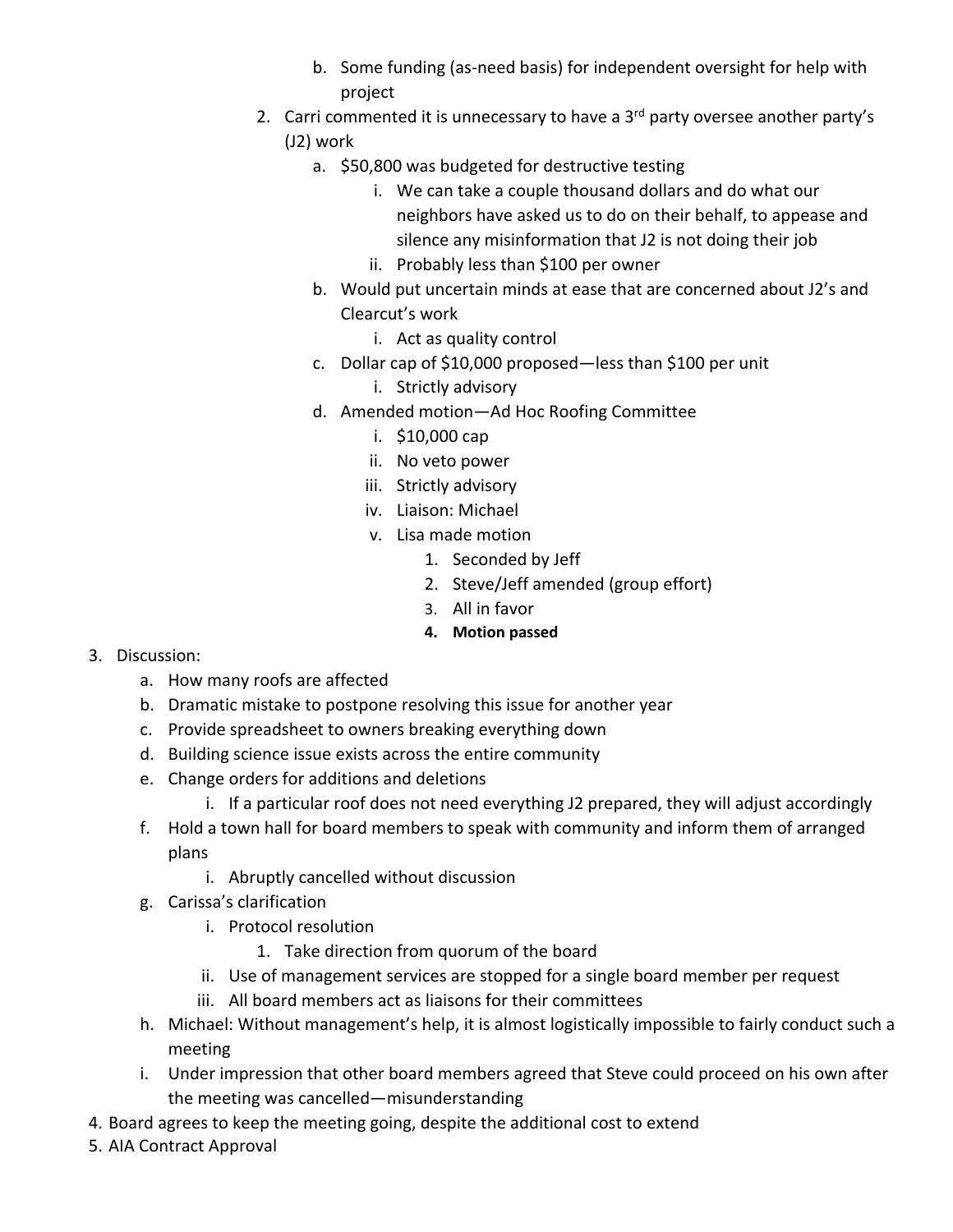- b. Some funding (as-need basis) for independent oversight for help with project
- 2. Carri commented it is unnecessary to have a  $3<sup>rd</sup>$  party oversee another party's (J2) work
	- a. \$50,800 was budgeted for destructive testing
		- i. We can take a couple thousand dollars and do what our neighbors have asked us to do on their behalf, to appease and silence any misinformation that J2 is not doing their job
		- ii. Probably less than \$100 per owner
	- b. Would put uncertain minds at ease that are concerned about J2's and Clearcut's work
		- i. Act as quality control
	- c. Dollar cap of \$10,000 proposed—less than \$100 per unit
		- i. Strictly advisory
	- d. Amended motion—Ad Hoc Roofing Committee
		- i. \$10,000 cap
		- ii. No veto power
		- iii. Strictly advisory
		- iv. Liaison: Michael
		- v. Lisa made motion
			- 1. Seconded by Jeff
			- 2. Steve/Jeff amended (group effort)
			- 3. All in favor
			- **4. Motion passed**

- 3. Discussion:
	- a. How many roofs are affected
	- b. Dramatic mistake to postpone resolving this issue for another year
	- c. Provide spreadsheet to owners breaking everything down
	- d. Building science issue exists across the entire community
	- e. Change orders for additions and deletions
		- i. If a particular roof does not need everything J2 prepared, they will adjust accordingly
	- f. Hold a town hall for board members to speak with community and inform them of arranged plans
		- i. Abruptly cancelled without discussion
	- g. Carissa's clarification
		- i. Protocol resolution
			- 1. Take direction from quorum of the board
		- ii. Use of management services are stopped for a single board member per request
		- iii. All board members act as liaisons for their committees
	- h. Michael: Without management's help, it is almost logistically impossible to fairly conduct such a meeting
	- i. Under impression that other board members agreed that Steve could proceed on his own after the meeting was cancelled—misunderstanding
- 4. Board agrees to keep the meeting going, despite the additional cost to extend
- 5. AIA Contract Approval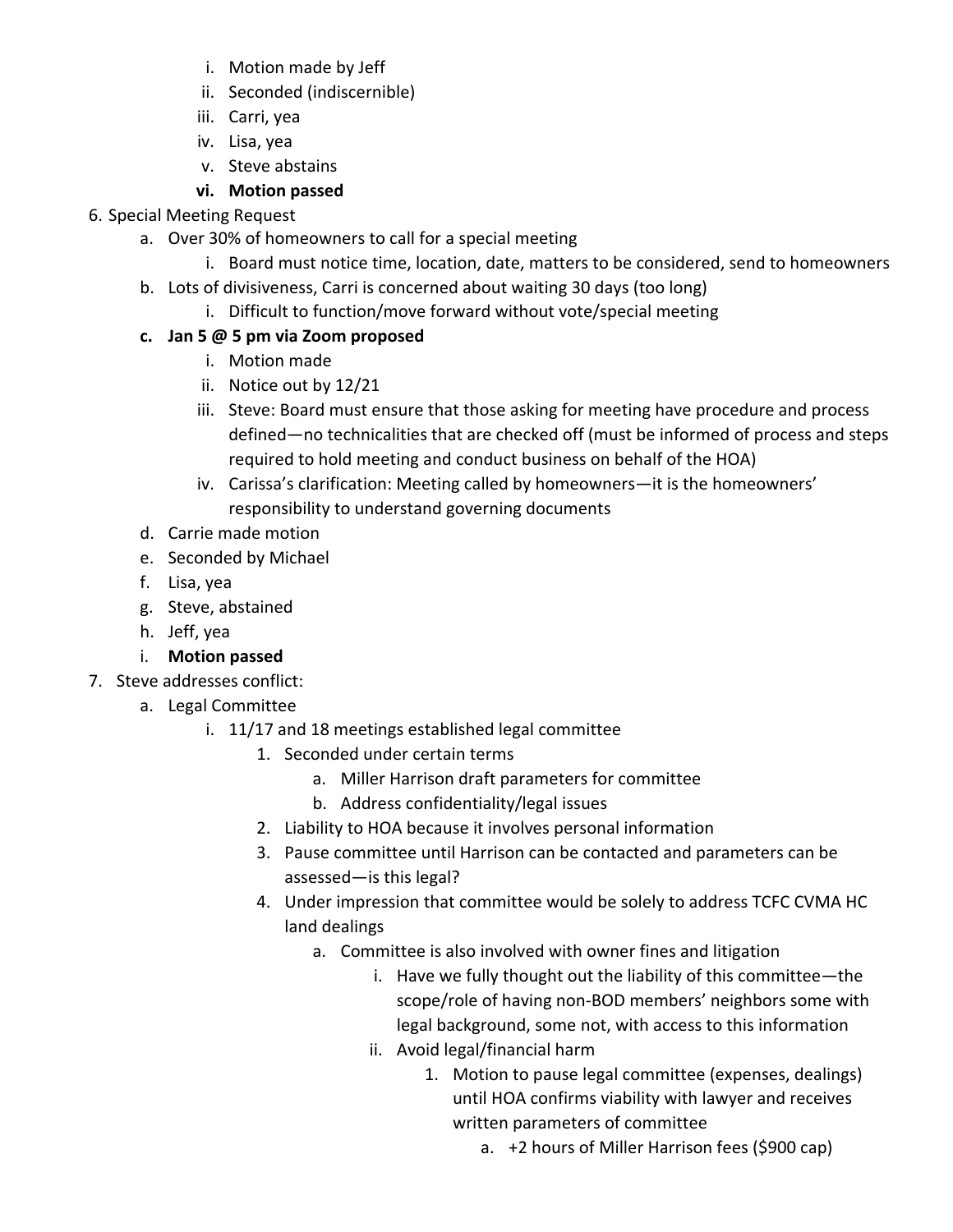- i. Motion made by Jeff
- ii. Seconded (indiscernible)
- iii. Carri, yea
- iv. Lisa, yea
- v. Steve abstains

# **vi. Motion passed**

### 6. Special Meeting Request

- a. Over 30% of homeowners to call for a special meeting
	- i. Board must notice time, location, date, matters to be considered, send to homeowners
- b. Lots of divisiveness, Carri is concerned about waiting 30 days (too long)
	- i. Difficult to function/move forward without vote/special meeting

# **c. Jan 5 @ 5 pm via Zoom proposed**

- i. Motion made
- ii. Notice out by 12/21
- iii. Steve: Board must ensure that those asking for meeting have procedure and process defined—no technicalities that are checked off (must be informed of process and steps required to hold meeting and conduct business on behalf of the HOA)
- iv. Carissa's clarification: Meeting called by homeowners—it is the homeowners' responsibility to understand governing documents
- d. Carrie made motion
- e. Seconded by Michael
- f. Lisa, yea
- g. Steve, abstained
- h. Jeff, yea

# i. **Motion passed**

- 7. Steve addresses conflict:
	- a. Legal Committee
		- i. 11/17 and 18 meetings established legal committee
			- 1. Seconded under certain terms
				- a. Miller Harrison draft parameters for committee
				- b. Address confidentiality/legal issues
			- 2. Liability to HOA because it involves personal information
			- 3. Pause committee until Harrison can be contacted and parameters can be assessed—is this legal?
			- 4. Under impression that committee would be solely to address TCFC CVMA HC land dealings
				- a. Committee is also involved with owner fines and litigation
					- i. Have we fully thought out the liability of this committee—the scope/role of having non-BOD members' neighbors some with legal background, some not, with access to this information
					- ii. Avoid legal/financial harm
						- 1. Motion to pause legal committee (expenses, dealings) until HOA confirms viability with lawyer and receives written parameters of committee
							- a. +2 hours of Miller Harrison fees (\$900 cap)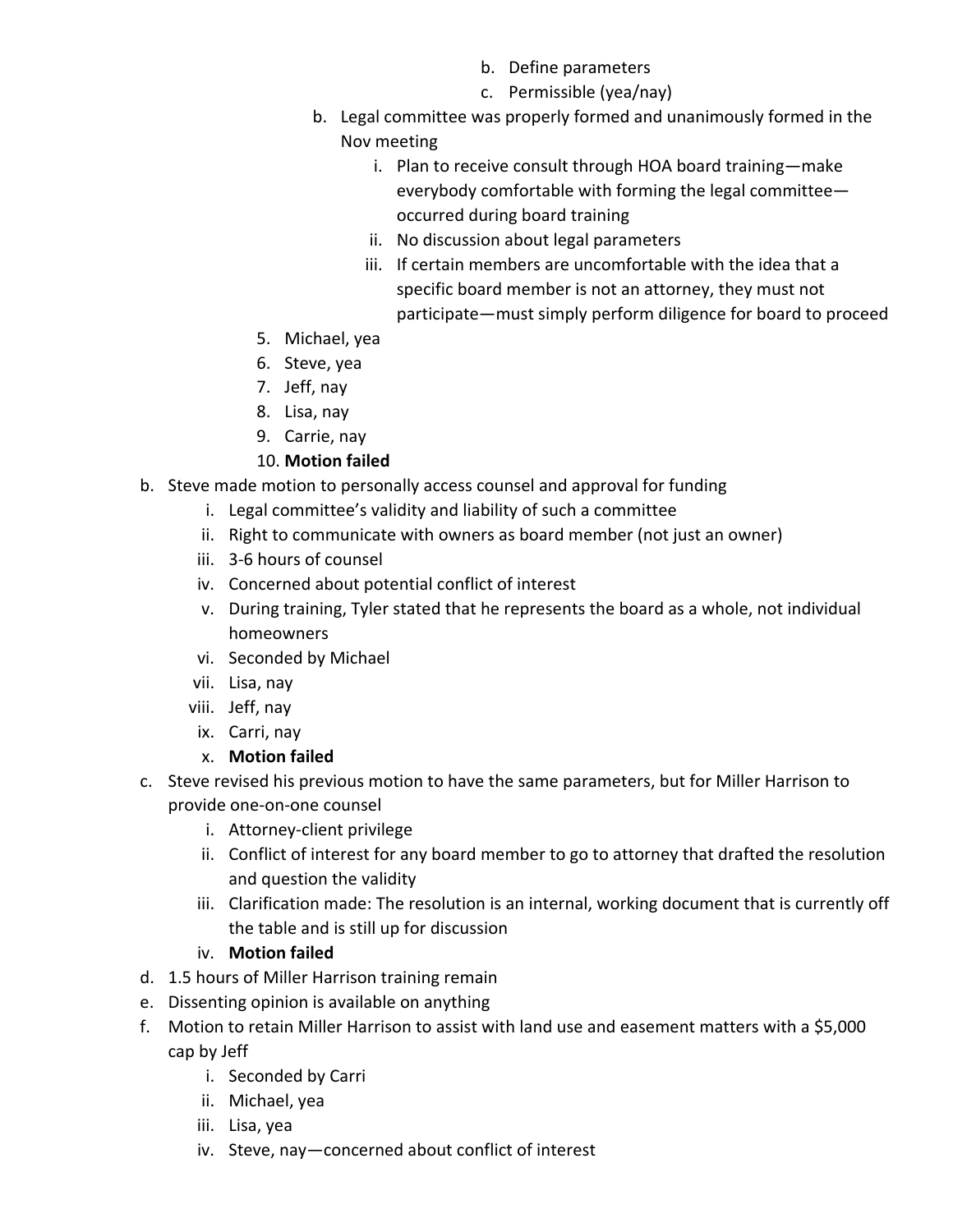- b. Define parameters
- c. Permissible (yea/nay)
- b. Legal committee was properly formed and unanimously formed in the Nov meeting
	- i. Plan to receive consult through HOA board training—make everybody comfortable with forming the legal committee occurred during board training
	- ii. No discussion about legal parameters
	- iii. If certain members are uncomfortable with the idea that a specific board member is not an attorney, they must not participate—must simply perform diligence for board to proceed
- 5. Michael, yea
- 6. Steve, yea
- 7. Jeff, nay
- 8. Lisa, nay
- 9. Carrie, nay

### 10. **Motion failed**

- b. Steve made motion to personally access counsel and approval for funding
	- i. Legal committee's validity and liability of such a committee
	- ii. Right to communicate with owners as board member (not just an owner)
	- iii. 3-6 hours of counsel
	- iv. Concerned about potential conflict of interest
	- v. During training, Tyler stated that he represents the board as a whole, not individual homeowners
	- vi. Seconded by Michael
	- vii. Lisa, nay
	- viii. Jeff, nay
	- ix. Carri, nay
	- x. **Motion failed**
- c. Steve revised his previous motion to have the same parameters, but for Miller Harrison to provide one-on-one counsel
	- i. Attorney-client privilege
	- ii. Conflict of interest for any board member to go to attorney that drafted the resolution and question the validity
	- iii. Clarification made: The resolution is an internal, working document that is currently off the table and is still up for discussion

### iv. **Motion failed**

- d. 1.5 hours of Miller Harrison training remain
- e. Dissenting opinion is available on anything
- f. Motion to retain Miller Harrison to assist with land use and easement matters with a \$5,000 cap by Jeff
	- i. Seconded by Carri
	- ii. Michael, yea
	- iii. Lisa, yea
	- iv. Steve, nay—concerned about conflict of interest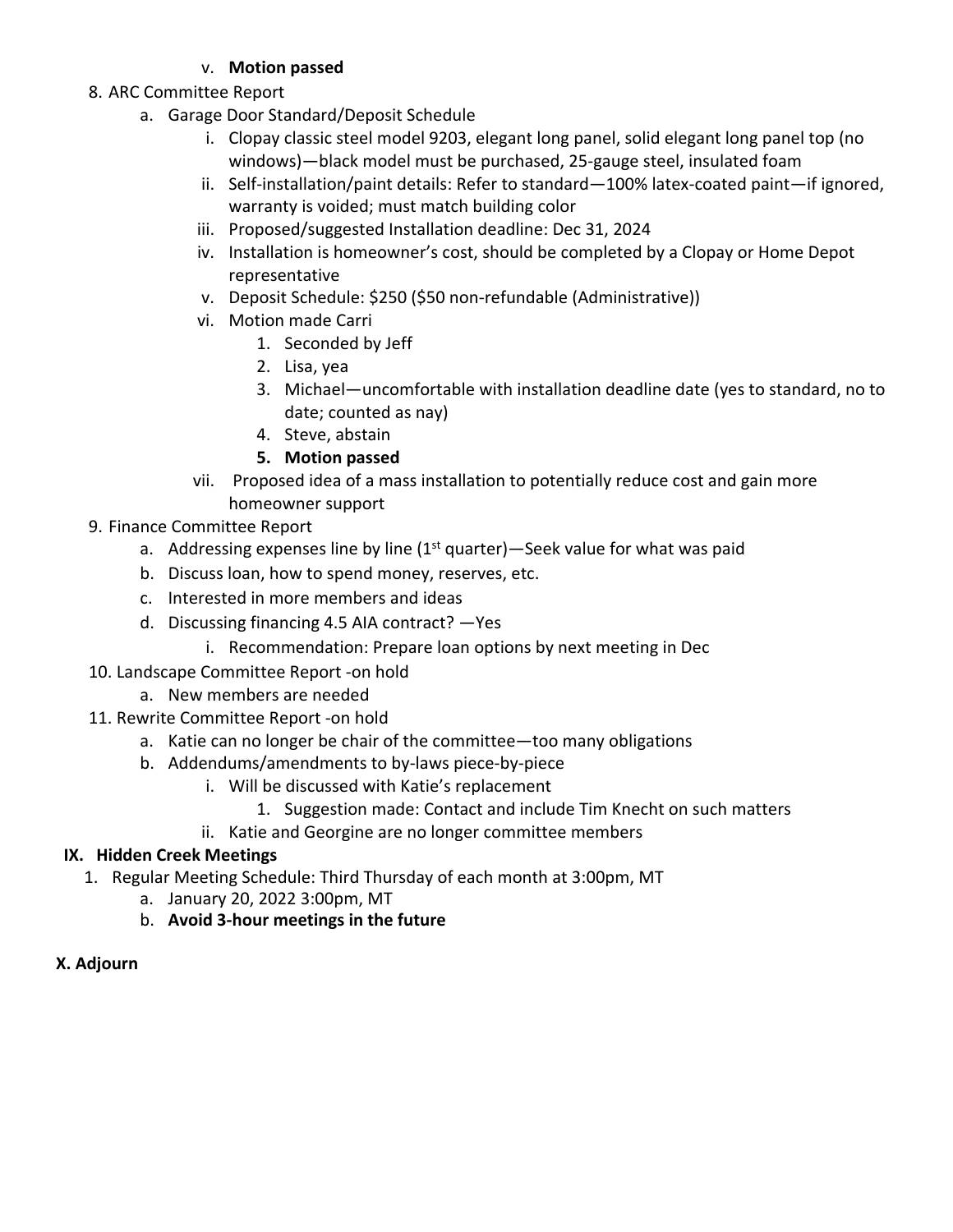### v. **Motion passed**

- 8. ARC Committee Report
	- a. Garage Door Standard/Deposit Schedule
		- i. Clopay classic steel model 9203, elegant long panel, solid elegant long panel top (no windows)—black model must be purchased, 25-gauge steel, insulated foam
		- ii. Self-installation/paint details: Refer to standard—100% latex-coated paint—if ignored, warranty is voided; must match building color
		- iii. Proposed/suggested Installation deadline: Dec 31, 2024
		- iv. Installation is homeowner's cost, should be completed by a Clopay or Home Depot representative
		- v. Deposit Schedule: \$250 (\$50 non-refundable (Administrative))
		- vi. Motion made Carri
			- 1. Seconded by Jeff
			- 2. Lisa, yea
			- 3. Michael—uncomfortable with installation deadline date (yes to standard, no to date; counted as nay)
			- 4. Steve, abstain
			- **5. Motion passed**
		- vii. Proposed idea of a mass installation to potentially reduce cost and gain more homeowner support
- 9. Finance Committee Report
	- a. Addressing expenses line by line  $(1<sup>st</sup>$  quarter) Seek value for what was paid
	- b. Discuss loan, how to spend money, reserves, etc.
	- c. Interested in more members and ideas
	- d. Discussing financing 4.5 AIA contract? —Yes
		- i. Recommendation: Prepare loan options by next meeting in Dec
- 10. Landscape Committee Report -on hold
	- a. New members are needed
- 11. Rewrite Committee Report -on hold
	- a. Katie can no longer be chair of the committee—too many obligations
	- b. Addendums/amendments to by-laws piece-by-piece
		- i. Will be discussed with Katie's replacement
			- 1. Suggestion made: Contact and include Tim Knecht on such matters
		- ii. Katie and Georgine are no longer committee members

# **IX. Hidden Creek Meetings**

- 1. Regular Meeting Schedule: Third Thursday of each month at 3:00pm, MT
	- a. January 20, 2022 3:00pm, MT
	- b. **Avoid 3-hour meetings in the future**

### **X. Adjourn**